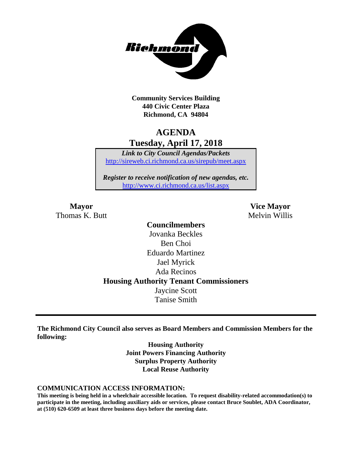

**Community Services Building 440 Civic Center Plaza Richmond, CA 94804**

# **AGENDA Tuesday, April 17, 2018**

*Link to City Council Agendas/Packets* <http://sireweb.ci.richmond.ca.us/sirepub/meet.aspx>

*Register to receive notification of new agendas, etc.* <http://www.ci.richmond.ca.us/list.aspx>

Thomas K. Butt Melvin Willis

**Mayor Vice Mayor**

**Councilmembers** Jovanka Beckles Ben Choi Eduardo Martinez Jael Myrick Ada Recinos **Housing Authority Tenant Commissioners** Jaycine Scott Tanise Smith

**The Richmond City Council also serves as Board Members and Commission Members for the following:**

> **Housing Authority Joint Powers Financing Authority Surplus Property Authority Local Reuse Authority**

#### **COMMUNICATION ACCESS INFORMATION:**

**This meeting is being held in a wheelchair accessible location. To request disability-related accommodation(s) to participate in the meeting, including auxiliary aids or services, please contact Bruce Soublet, ADA Coordinator, at (510) 620-6509 at least three business days before the meeting date.**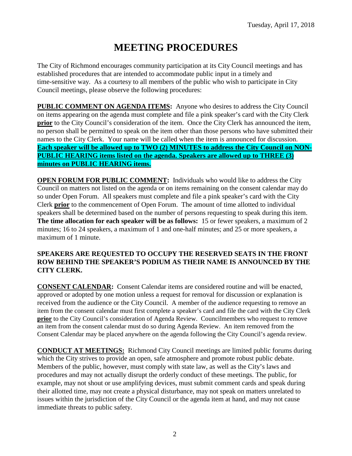# **MEETING PROCEDURES**

The City of Richmond encourages community participation at its City Council meetings and has established procedures that are intended to accommodate public input in a timely and time-sensitive way. As a courtesy to all members of the public who wish to participate in City Council meetings, please observe the following procedures:

**PUBLIC COMMENT ON AGENDA ITEMS:** Anyone who desires to address the City Council on items appearing on the agenda must complete and file a pink speaker's card with the City Clerk **prior** to the City Council's consideration of the item. Once the City Clerk has announced the item, no person shall be permitted to speak on the item other than those persons who have submitted their names to the City Clerk. Your name will be called when the item is announced for discussion. **Each speaker will be allowed up to TWO (2) MINUTES to address the City Council on NON-PUBLIC HEARING items listed on the agenda. Speakers are allowed up to THREE (3) minutes on PUBLIC HEARING items.**

**OPEN FORUM FOR PUBLIC COMMENT:** Individuals who would like to address the City Council on matters not listed on the agenda or on items remaining on the consent calendar may do so under Open Forum. All speakers must complete and file a pink speaker's card with the City Clerk **prior** to the commencement of Open Forum. The amount of time allotted to individual speakers shall be determined based on the number of persons requesting to speak during this item. **The time allocation for each speaker will be as follows:** 15 or fewer speakers, a maximum of 2 minutes; 16 to 24 speakers, a maximum of 1 and one-half minutes; and 25 or more speakers, a maximum of 1 minute.

#### **SPEAKERS ARE REQUESTED TO OCCUPY THE RESERVED SEATS IN THE FRONT ROW BEHIND THE SPEAKER'S PODIUM AS THEIR NAME IS ANNOUNCED BY THE CITY CLERK.**

**CONSENT CALENDAR:** Consent Calendar items are considered routine and will be enacted, approved or adopted by one motion unless a request for removal for discussion or explanation is received from the audience or the City Council. A member of the audience requesting to remove an item from the consent calendar must first complete a speaker's card and file the card with the City Clerk **prior** to the City Council's consideration of Agenda Review. Councilmembers who request to remove an item from the consent calendar must do so during Agenda Review. An item removed from the Consent Calendar may be placed anywhere on the agenda following the City Council's agenda review.

**CONDUCT AT MEETINGS:** Richmond City Council meetings are limited public forums during which the City strives to provide an open, safe atmosphere and promote robust public debate. Members of the public, however, must comply with state law, as well as the City's laws and procedures and may not actually disrupt the orderly conduct of these meetings. The public, for example, may not shout or use amplifying devices, must submit comment cards and speak during their allotted time, may not create a physical disturbance, may not speak on matters unrelated to issues within the jurisdiction of the City Council or the agenda item at hand, and may not cause immediate threats to public safety.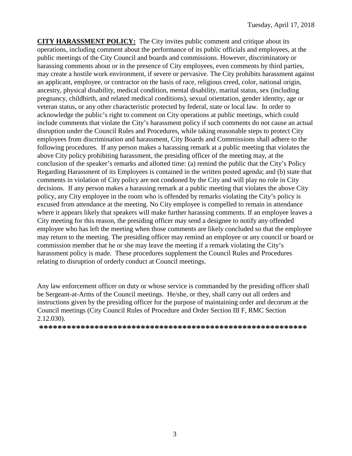**CITY HARASSMENT POLICY:** The City invites public comment and critique about its operations, including comment about the performance of its public officials and employees, at the public meetings of the City Council and boards and commissions. However, discriminatory or harassing comments about or in the presence of City employees, even comments by third parties, may create a hostile work environment, if severe or pervasive. The City prohibits harassment against an applicant, employee, or contractor on the basis of race, religious creed, color, national origin, ancestry, physical disability, medical condition, mental disability, marital status, sex (including pregnancy, childbirth, and related medical conditions), sexual orientation, gender identity, age or veteran status, or any other characteristic protected by federal, state or local law. In order to acknowledge the public's right to comment on City operations at public meetings, which could include comments that violate the City's harassment policy if such comments do not cause an actual disruption under the Council Rules and Procedures, while taking reasonable steps to protect City employees from discrimination and harassment, City Boards and Commissions shall adhere to the following procedures. If any person makes a harassing remark at a public meeting that violates the above City policy prohibiting harassment, the presiding officer of the meeting may, at the conclusion of the speaker's remarks and allotted time: (a) remind the public that the City's Policy Regarding Harassment of its Employees is contained in the written posted agenda; and (b) state that comments in violation of City policy are not condoned by the City and will play no role in City decisions. If any person makes a harassing remark at a public meeting that violates the above City policy, any City employee in the room who is offended by remarks violating the City's policy is excused from attendance at the meeting. No City employee is compelled to remain in attendance where it appears likely that speakers will make further harassing comments. If an employee leaves a City meeting for this reason, the presiding officer may send a designee to notify any offended employee who has left the meeting when those comments are likely concluded so that the employee may return to the meeting. The presiding officer may remind an employee or any council or board or commission member that he or she may leave the meeting if a remark violating the City's harassment policy is made. These procedures supplement the Council Rules and Procedures relating to disruption of orderly conduct at Council meetings.

Any law enforcement officer on duty or whose service is commanded by the presiding officer shall be Sergeant-at-Arms of the Council meetings. He/she, or they, shall carry out all orders and instructions given by the presiding officer for the purpose of maintaining order and decorum at the Council meetings (City Council Rules of Procedure and Order Section III F, RMC Section 2.12.030).

**\*\*\*\*\*\*\*\*\*\*\*\*\*\*\*\*\*\*\*\*\*\*\*\*\*\*\*\*\*\*\*\*\*\*\*\*\*\*\*\*\*\*\*\*\*\*\*\*\*\*\*\*\*\*\*\*\*\***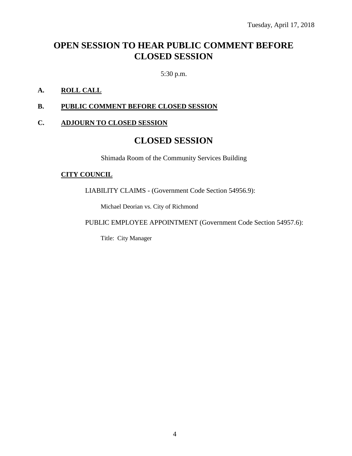# **OPEN SESSION TO HEAR PUBLIC COMMENT BEFORE CLOSED SESSION**

5:30 p.m.

#### **A. ROLL CALL**

#### **B. PUBLIC COMMENT BEFORE CLOSED SESSION**

#### **C. ADJOURN TO CLOSED SESSION**

## **CLOSED SESSION**

Shimada Room of the Community Services Building

#### **CITY COUNCIL**

LIABILITY CLAIMS - (Government Code Section 54956.9):

Michael Deorian vs. City of Richmond

PUBLIC EMPLOYEE APPOINTMENT (Government Code Section 54957.6):

Title: City Manager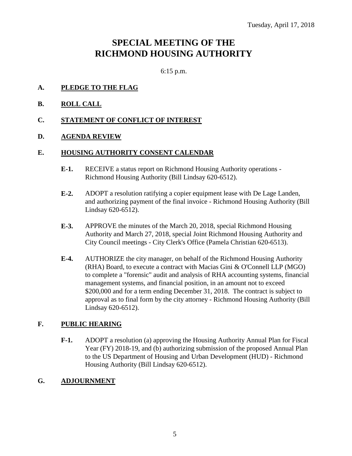# **SPECIAL MEETING OF THE RICHMOND HOUSING AUTHORITY**

6:15 p.m.

- **A. PLEDGE TO THE FLAG**
- **B. ROLL CALL**
- **C. STATEMENT OF CONFLICT OF INTEREST**

#### **D. AGENDA REVIEW**

#### **E. HOUSING AUTHORITY CONSENT CALENDAR**

- **E-1.** RECEIVE a status report on Richmond Housing Authority operations Richmond Housing Authority (Bill Lindsay 620-6512).
- **E-2.** ADOPT a resolution ratifying a copier equipment lease with De Lage Landen, and authorizing payment of the final invoice - Richmond Housing Authority (Bill Lindsay 620-6512).
- **E-3.** APPROVE the minutes of the March 20, 2018, special Richmond Housing Authority and March 27, 2018, special Joint Richmond Housing Authority and City Council meetings - City Clerk's Office (Pamela Christian 620-6513).
- **E-4.** AUTHORIZE the city manager, on behalf of the Richmond Housing Authority (RHA) Board, to execute a contract with Macias Gini & O'Connell LLP (MGO) to complete a "forensic" audit and analysis of RHA accounting systems, financial management systems, and financial position, in an amount not to exceed \$200,000 and for a term ending December 31, 2018. The contract is subject to approval as to final form by the city attorney - Richmond Housing Authority (Bill Lindsay 620-6512).

#### **F. PUBLIC HEARING**

**F-1.** ADOPT a resolution (a) approving the Housing Authority Annual Plan for Fiscal Year (FY) 2018-19, and (b) authorizing submission of the proposed Annual Plan to the US Department of Housing and Urban Development (HUD) - Richmond Housing Authority (Bill Lindsay 620-6512).

#### **G. ADJOURNMENT**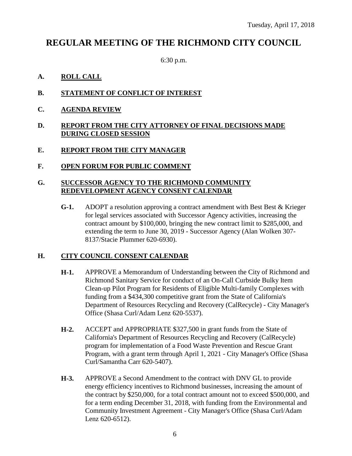# **REGULAR MEETING OF THE RICHMOND CITY COUNCIL**

6:30 p.m.

### **A. ROLL CALL**

- **B. STATEMENT OF CONFLICT OF INTEREST**
- **C. AGENDA REVIEW**

#### **D. REPORT FROM THE CITY ATTORNEY OF FINAL DECISIONS MADE DURING CLOSED SESSION**

- **E. REPORT FROM THE CITY MANAGER**
- **F. OPEN FORUM FOR PUBLIC COMMENT**

#### **G. SUCCESSOR AGENCY TO THE RICHMOND COMMUNITY REDEVELOPMENT AGENCY CONSENT CALENDAR**

**G-1.** ADOPT a resolution approving a contract amendment with Best Best & Krieger for legal services associated with Successor Agency activities, increasing the contract amount by \$100,000, bringing the new contract limit to \$285,000, and extending the term to June 30, 2019 - Successor Agency (Alan Wolken 307- 8137/Stacie Plummer 620-6930).

### **H. CITY COUNCIL CONSENT CALENDAR**

- **H-1.** APPROVE a Memorandum of Understanding between the City of Richmond and Richmond Sanitary Service for conduct of an On-Call Curbside Bulky Item Clean-up Pilot Program for Residents of Eligible Multi-family Complexes with funding from a \$434,300 competitive grant from the State of California's Department of Resources Recycling and Recovery (CalRecycle) - City Manager's Office (Shasa Curl/Adam Lenz 620-5537).
- **H-2.** ACCEPT and APPROPRIATE \$327,500 in grant funds from the State of California's Department of Resources Recycling and Recovery (CalRecycle) program for implementation of a Food Waste Prevention and Rescue Grant Program, with a grant term through April 1, 2021 - City Manager's Office (Shasa Curl/Samantha Carr 620-5407).
- **H-3.** APPROVE a Second Amendment to the contract with DNV GL to provide energy efficiency incentives to Richmond businesses, increasing the amount of the contract by \$250,000, for a total contract amount not to exceed \$500,000, and for a term ending December 31, 2018, with funding from the Environmental and Community Investment Agreement - City Manager's Office (Shasa Curl/Adam Lenz 620-6512).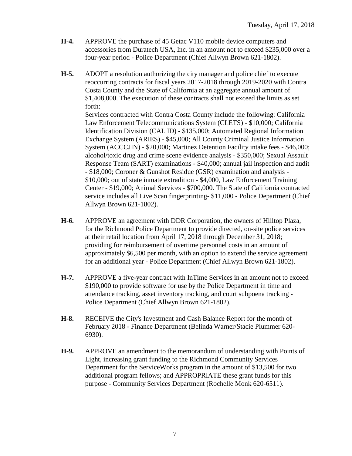- **H-4.** APPROVE the purchase of 45 Getac V110 mobile device computers and accessories from Duratech USA, Inc. in an amount not to exceed \$235,000 over a four-year period - Police Department (Chief Allwyn Brown 621-1802).
- **H-5.** ADOPT a resolution authorizing the city manager and police chief to execute reoccurring contracts for fiscal years 2017-2018 through 2019-2020 with Contra Costa County and the State of California at an aggregate annual amount of \$1,408,000. The execution of these contracts shall not exceed the limits as set forth:

Services contracted with Contra Costa County include the following: California Law Enforcement Telecommunications System (CLETS) - \$10,000; California Identification Division (CAL ID) - \$135,000; Automated Regional Information Exchange System (ARIES) - \$45,000; All County Criminal Justice Information System (ACCCJIN) - \$20,000; Martinez Detention Facility intake fees - \$46,000; alcohol/toxic drug and crime scene evidence analysis - \$350,000; Sexual Assault Response Team (SART) examinations - \$40,000; annual jail inspection and audit - \$18,000; Coroner & Gunshot Residue (GSR) examination and analysis - \$10,000; out of state inmate extradition - \$4,000, Law Enforcement Training Center - \$19,000; Animal Services - \$700,000. The State of California contracted service includes all Live Scan fingerprinting- \$11,000 - Police Department (Chief Allwyn Brown 621-1802).

- **H-6.** APPROVE an agreement with DDR Corporation, the owners of Hilltop Plaza, for the Richmond Police Department to provide directed, on-site police services at their retail location from April 17, 2018 through December 31, 2018; providing for reimbursement of overtime personnel costs in an amount of approximately \$6,500 per month, with an option to extend the service agreement for an additional year - Police Department (Chief Allwyn Brown 621-1802).
- **H-7.** APPROVE a five-year contract with InTime Services in an amount not to exceed \$190,000 to provide software for use by the Police Department in time and attendance tracking, asset inventory tracking, and court subpoena tracking - Police Department (Chief Allwyn Brown 621-1802).
- **H-8.** RECEIVE the City's Investment and Cash Balance Report for the month of February 2018 - Finance Department (Belinda Warner/Stacie Plummer 620- 6930).
- **H-9.** APPROVE an amendment to the memorandum of understanding with Points of Light, increasing grant funding to the Richmond Community Services Department for the ServiceWorks program in the amount of \$13,500 for two additional program fellows; and APPROPRIATE these grant funds for this purpose - Community Services Department (Rochelle Monk 620-6511).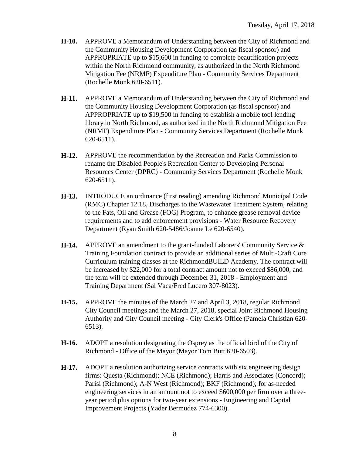- **H-10.** APPROVE a Memorandum of Understanding between the City of Richmond and the Community Housing Development Corporation (as fiscal sponsor) and APPROPRIATE up to \$15,600 in funding to complete beautification projects within the North Richmond community, as authorized in the North Richmond Mitigation Fee (NRMF) Expenditure Plan - Community Services Department (Rochelle Monk 620-6511).
- **H-11.** APPROVE a Memorandum of Understanding between the City of Richmond and the Community Housing Development Corporation (as fiscal sponsor) and APPROPRIATE up to \$19,500 in funding to establish a mobile tool lending library in North Richmond, as authorized in the North Richmond Mitigation Fee (NRMF) Expenditure Plan - Community Services Department (Rochelle Monk 620-6511).
- **H-12.** APPROVE the recommendation by the Recreation and Parks Commission to rename the Disabled People's Recreation Center to Developing Personal Resources Center (DPRC) - Community Services Department (Rochelle Monk 620-6511).
- **H-13.** INTRODUCE an ordinance (first reading) amending Richmond Municipal Code (RMC) Chapter 12.18, Discharges to the Wastewater Treatment System, relating to the Fats, Oil and Grease (FOG) Program, to enhance grease removal device requirements and to add enforcement provisions - Water Resource Recovery Department (Ryan Smith 620-5486/Joanne Le 620-6540).
- **H-14.** APPROVE an amendment to the grant-funded Laborers' Community Service & Training Foundation contract to provide an additional series of Multi-Craft Core Curriculum training classes at the RichmondBUILD Academy. The contract will be increased by \$22,000 for a total contract amount not to exceed \$86,000, and the term will be extended through December 31, 2018 - Employment and Training Department (Sal Vaca/Fred Lucero 307-8023).
- **H-15.** APPROVE the minutes of the March 27 and April 3, 2018, regular Richmond City Council meetings and the March 27, 2018, special Joint Richmond Housing Authority and City Council meeting - City Clerk's Office (Pamela Christian 620- 6513).
- **H-16.** ADOPT a resolution designating the Osprey as the official bird of the City of Richmond - Office of the Mayor (Mayor Tom Butt 620-6503).
- **H-17.** ADOPT a resolution authorizing service contracts with six engineering design firms: Questa (Richmond); NCE (Richmond); Harris and Associates (Concord); Parisi (Richmond); A-N West (Richmond); BKF (Richmond); for as-needed engineering services in an amount not to exceed \$600,000 per firm over a threeyear period plus options for two-year extensions - Engineering and Capital Improvement Projects (Yader Bermudez 774-6300).